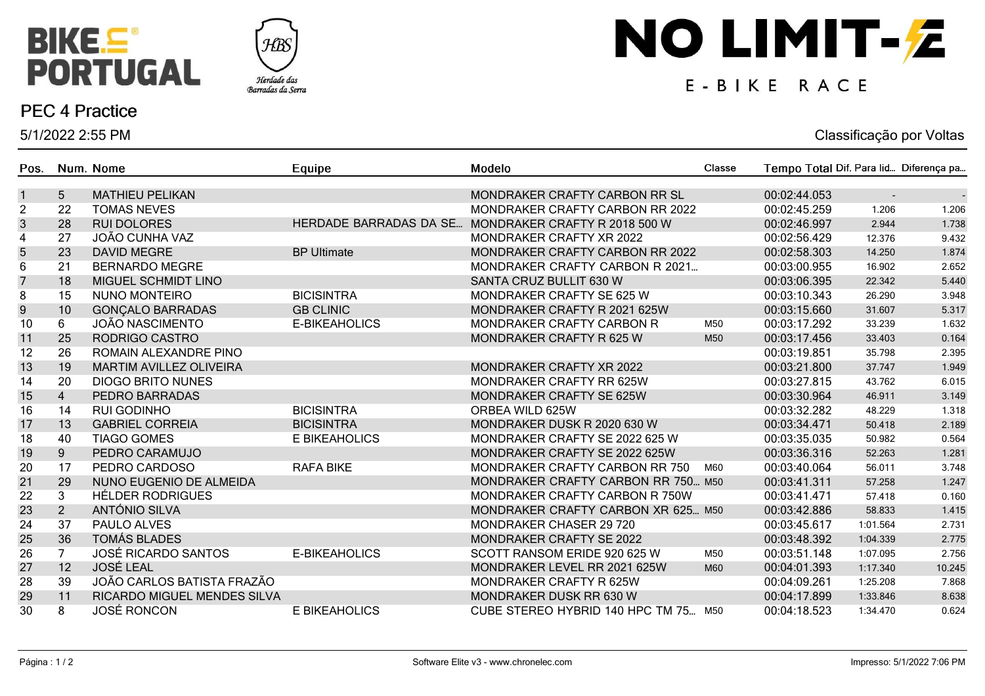



### **PEC 4 Practice**

5/1/2022 2:55 PM

# NO LIMIT-Z

## E-BIKE RACE

#### Classificação por Voltas

| Pos.           |                | Num. Nome                      | Equipe                 | Modelo                                 | Classe | Tempo Total Dif. Para lid Diferença pa |                |        |
|----------------|----------------|--------------------------------|------------------------|----------------------------------------|--------|----------------------------------------|----------------|--------|
| $\mathbf{1}$   | 5              | <b>MATHIEU PELIKAN</b>         |                        | MONDRAKER CRAFTY CARBON RR SL          |        | 00:02:44.053                           | $\blacksquare$ |        |
| $\overline{c}$ | 22             | <b>TOMAS NEVES</b>             |                        | <b>MONDRAKER CRAFTY CARBON RR 2022</b> |        | 00:02:45.259                           | 1.206          | 1.206  |
| $\sqrt{3}$     | 28             | <b>RUI DOLORES</b>             | HERDADE BARRADAS DA SE | MONDRAKER CRAFTY R 2018 500 W          |        | 00:02:46.997                           | 2.944          | 1.738  |
| 4              | 27             | JOÃO CUNHA VAZ                 |                        | MONDRAKER CRAFTY XR 2022               |        | 00:02:56.429                           | 12.376         | 9.432  |
| 5              | 23             | <b>DAVID MEGRE</b>             | <b>BP Ultimate</b>     | MONDRAKER CRAFTY CARBON RR 2022        |        | 00:02:58.303                           | 14.250         | 1.874  |
| 6              | 21             | <b>BERNARDO MEGRE</b>          |                        | MONDRAKER CRAFTY CARBON R 2021         |        | 00:03:00.955                           | 16.902         | 2.652  |
| $\overline{7}$ | 18             | MIGUEL SCHMIDT LINO            |                        | SANTA CRUZ BULLIT 630 W                |        | 00:03:06.395                           | 22.342         | 5.440  |
| 8              | 15             | <b>NUNO MONTEIRO</b>           | <b>BICISINTRA</b>      | MONDRAKER CRAFTY SE 625 W              |        | 00:03:10.343                           | 26.290         | 3.948  |
| 9              | 10             | <b>GONÇALO BARRADAS</b>        | <b>GB CLINIC</b>       | MONDRAKER CRAFTY R 2021 625W           |        | 00:03:15.660                           | 31.607         | 5.317  |
| 10             | 6              | <b>JOÃO NASCIMENTO</b>         | E-BIKEAHOLICS          | <b>MONDRAKER CRAFTY CARBON R</b>       | M50    | 00:03:17.292                           | 33.239         | 1.632  |
| 11             | 25             | RODRIGO CASTRO                 |                        | MONDRAKER CRAFTY R 625 W               | M50    | 00:03:17.456                           | 33.403         | 0.164  |
| 12             | 26             | ROMAIN ALEXANDRE PINO          |                        |                                        |        | 00:03:19.851                           | 35.798         | 2.395  |
| 13             | 19             | <b>MARTIM AVILLEZ OLIVEIRA</b> |                        | MONDRAKER CRAFTY XR 2022               |        | 00:03:21.800                           | 37.747         | 1.949  |
| 14             | 20             | <b>DIOGO BRITO NUNES</b>       |                        | MONDRAKER CRAFTY RR 625W               |        | 00:03:27.815                           | 43.762         | 6.015  |
| 15             | $\overline{4}$ | PEDRO BARRADAS                 |                        | MONDRAKER CRAFTY SE 625W               |        | 00:03:30.964                           | 46.911         | 3.149  |
| 16             | 14             | <b>RUI GODINHO</b>             | <b>BICISINTRA</b>      | ORBEA WILD 625W                        |        | 00:03:32.282                           | 48.229         | 1.318  |
| 17             | 13             | <b>GABRIEL CORREIA</b>         | <b>BICISINTRA</b>      | MONDRAKER DUSK R 2020 630 W            |        | 00:03:34.471                           | 50.418         | 2.189  |
| 18             | 40             | <b>TIAGO GOMES</b>             | E BIKEAHOLICS          | MONDRAKER CRAFTY SE 2022 625 W         |        | 00:03:35.035                           | 50.982         | 0.564  |
| 19             | 9 <sup>°</sup> | PEDRO CARAMUJO                 |                        | MONDRAKER CRAFTY SE 2022 625W          |        | 00:03:36.316                           | 52.263         | 1.281  |
| 20             | 17             | PEDRO CARDOSO                  | <b>RAFA BIKE</b>       | MONDRAKER CRAFTY CARBON RR 750         | M60    | 00:03:40.064                           | 56.011         | 3.748  |
| 21             | 29             | NUNO EUGENIO DE ALMEIDA        |                        | MONDRAKER CRAFTY CARBON RR 750 M50     |        | 00:03:41.311                           | 57.258         | 1.247  |
| 22             | 3              | <b>HÉLDER RODRIGUES</b>        |                        | MONDRAKER CRAFTY CARBON R 750W         |        | 00:03:41.471                           | 57.418         | 0.160  |
| 23             | 2 <sup>1</sup> | ANTÓNIO SILVA                  |                        | MONDRAKER CRAFTY CARBON XR 625 M50     |        | 00:03:42.886                           | 58.833         | 1.415  |
| 24             | 37             | PAULO ALVES                    |                        | MONDRAKER CHASER 29 720                |        | 00:03:45.617                           | 1:01.564       | 2.731  |
| 25             | 36             | <b>TOMÁS BLADES</b>            |                        | MONDRAKER CRAFTY SE 2022               |        | 00:03:48.392                           | 1:04.339       | 2.775  |
| 26             | $\overline{7}$ | <b>JOSÉ RICARDO SANTOS</b>     | E-BIKEAHOLICS          | SCOTT RANSOM ERIDE 920 625 W           | M50    | 00:03:51.148                           | 1:07.095       | 2.756  |
| 27             | 12             | <b>JOSÉ LEAL</b>               |                        | MONDRAKER LEVEL RR 2021 625W           | M60    | 00:04:01.393                           | 1:17.340       | 10.245 |
| 28             | 39             | JOÃO CARLOS BATISTA FRAZÃO     |                        | <b>MONDRAKER CRAFTY R 625W</b>         |        | 00:04:09.261                           | 1:25.208       | 7.868  |
| 29             | 11             | RICARDO MIGUEL MENDES SILVA    |                        | MONDRAKER DUSK RR 630 W                |        | 00:04:17.899                           | 1:33.846       | 8.638  |
| 30             | 8              | <b>JOSÉ RONCON</b>             | E BIKEAHOLICS          | CUBE STEREO HYBRID 140 HPC TM 75 M50   |        | 00:04:18.523                           | 1:34.470       | 0.624  |